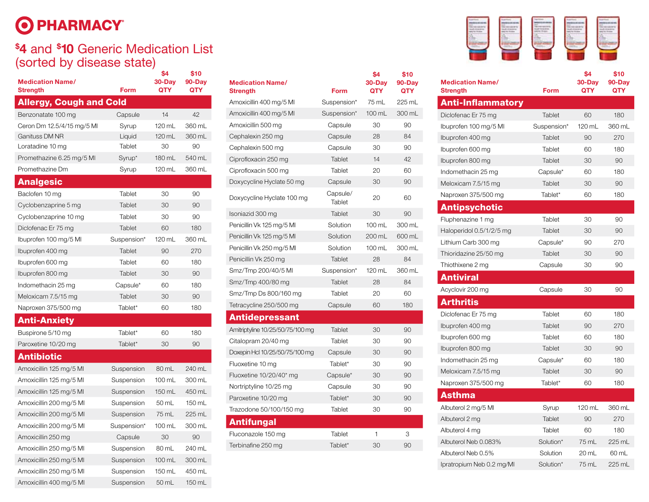## O PHARMACY®

## **\$ 4** and **\$ 10** Generic Medication List (sorted by disease state)

| <b>Medication Name/</b><br><b>Strength</b> | Form        | \$4<br>30-Day<br><b>QTY</b> | \$10<br>$90 - Day$<br>QTY | <b>Medication Name/</b><br><b>Strength</b> | Form        | \$4<br>$30 - Day$<br><b>QTY</b> |
|--------------------------------------------|-------------|-----------------------------|---------------------------|--------------------------------------------|-------------|---------------------------------|
| <b>Allergy, Cough and Cold</b>             |             |                             |                           | Amoxicillin 400 mg/5 MI                    | Suspension* | 75 mL                           |
| Benzonatate 100 mg                         | Capsule     | 14                          | 42                        | Amoxicillin 400 mg/5 MI                    | Suspension* | 100 mL                          |
| Ceron Dm 12.5/4/15 mg/5 Ml                 | Syrup       | 120 mL                      | 360 mL                    | Amoxicillin 500 mg                         | Capsule     | 30                              |
| Ganituss DM NR                             | Liquid      | 120 mL                      | 360 mL                    | Cephalexin 250 mg                          | Capsule     | 28                              |
| Loratadine 10 mg                           | Tablet      | 30                          | 90                        | Cephalexin 500 mg                          | Capsule     | 30                              |
| Promethazine 6.25 mg/5 MI                  | Syrup*      | 180 mL                      | 540 mL                    | Ciprofloxacin 250 mg                       | Tablet      | 14                              |
| Promethazine Dm                            | Syrup       | 120 mL                      | 360 mL                    | Ciprofloxacin 500 mg                       | Tablet      | 20                              |
| <b>Analgesic</b>                           |             |                             |                           | Doxycycline Hyclate 50 mg                  | Capsule     | 30                              |
| Baclofen 10 mg                             | Tablet      | 30                          | 90                        | Doxycycline Hyclate 100 mg                 | Capsule/    | 20                              |
| Cyclobenzaprine 5 mg                       | Tablet      | 30                          | 90                        |                                            | Tablet      |                                 |
| Cyclobenzaprine 10 mg                      | Tablet      | 30                          | 90                        | Isoniazid 300 mg                           | Tablet      | 30                              |
| Diclofenac Er 75 mg                        | Tablet      | 60                          | 180                       | Penicillin Vk 125 mg/5 Ml                  | Solution    | 100 mL                          |
| Ibuprofen 100 mg/5 MI                      | Suspension* | 120 mL                      | 360 mL                    | Penicillin Vk 125 mg/5 Ml                  | Solution    | 200 mL                          |
| Ibuprofen 400 mg                           | Tablet      | 90                          | 270                       | Penicillin Vk 250 mg/5 Ml                  | Solution    | 100 mL                          |
| Ibuprofen 600 mg                           | Tablet      | 60                          | 180                       | Penicillin Vk 250 mg                       | Tablet      | 28                              |
| Ibuprofen 800 mg                           | Tablet      | 30                          | 90                        | Smz/Tmp 200/40/5 MI                        | Suspension* | 120 mL                          |
| Indomethacin 25 mg                         | Capsule*    | 60                          | 180                       | Smz/Tmp 400/80 mg                          | Tablet      | 28                              |
| Meloxicam 7.5/15 mg                        | Tablet      | 30                          | 90                        | Smz/Tmp Ds 800/160 mg                      | Tablet      | 20                              |
| Naproxen 375/500 mg                        | Tablet*     | 60                          | 180                       | Tetracycline 250/500 mg                    | Capsule     | 60                              |
| <b>Anti-Anxiety</b>                        |             |                             |                           | <b>Antidepressant</b>                      |             |                                 |
| Buspirone 5/10 mg                          | Tablet*     | 60                          | 180                       | Amitriptyline 10/25/50/75/100 mg           | Tablet      | 30                              |
| Paroxetine 10/20 mg                        | Tablet*     | 30                          | 90                        | Citalopram 20/40 mg                        | Tablet      | 30                              |
| <b>Antibiotic</b>                          |             |                             |                           | Doxepin Hcl 10/25/50/75/100 mg             | Capsule     | 30                              |
| Amoxicillin 125 mg/5 Ml                    | Suspension  | 80 mL                       | 240 mL                    | Fluoxetine 10 mg                           | Tablet*     | 30                              |
| Amoxicillin 125 mg/5 Ml                    | Suspension  | 100 mL                      | 300 mL                    | Fluoxetine 10/20/40* mg                    | Capsule*    | 30                              |
| Amoxicillin 125 mg/5 MI                    | Suspension  | 150 mL                      | 450 mL                    | Nortriptyline 10/25 mg                     | Capsule     | 30                              |
| Amoxicillin 200 mg/5 Ml                    | Suspension  | 50 mL                       | 150 mL                    | Paroxetine 10/20 mg                        | Tablet*     | 30                              |
| Amoxicillin 200 mg/5 Ml                    | Suspension  | 75 mL                       | 225 mL                    | Trazodone 50/100/150 mg                    | Tablet      | 30                              |
| Amoxicillin 200 mg/5 Ml                    | Suspension* | 100 mL                      | 300 mL                    | <b>Antifungal</b>                          |             |                                 |
| Amoxicillin 250 mg                         | Capsule     | 30                          | 90                        | Fluconazole 150 mg                         | Tablet      | $\mathbf{1}$                    |
| Amoxicillin 250 mg/5 MI                    | Suspension  | 80 mL                       | 240 mL                    | Terbinafine 250 mg                         | Tablet*     | 30                              |
| Amoxicillin 250 mg/5 MI                    | Suspension  | 100 mL                      | 300 mL                    |                                            |             |                                 |
| Amoxicillin 250 mg/5 MI                    | Suspension  | 150 mL                      | 450 mL                    |                                            |             |                                 |
| Amoxicillin 400 mg/5 Ml                    | Suspension  | 50 mL                       | 150 mL                    |                                            |             |                                 |

| <b>Medication Name/</b><br><b>Strength</b> | Form               | \$4<br>30-Day<br>QTY | \$10<br>90-Day<br>QTY | <b>Medicatio</b><br><b>Strength</b> |
|--------------------------------------------|--------------------|----------------------|-----------------------|-------------------------------------|
| Amoxicillin 400 mg/5 Ml                    | Suspension*        | 75 mL                | 225 mL                | <b>Anti-In</b>                      |
| Amoxicillin 400 mg/5 MI                    | Suspension*        | 100 mL               | 300 mL                | Diclofenac                          |
| Amoxicillin 500 mg                         | Capsule            | 30                   | 90                    | lbuprofen <sup>-</sup>              |
| Cephalexin 250 mg                          | Capsule            | 28                   | 84                    | Ibuprofen 4                         |
| Cephalexin 500 mg                          | Capsule            | 30                   | 90                    | Ibuprofen (                         |
| Ciprofloxacin 250 mg                       | Tablet             | 14                   | 42                    | lbuprofen &                         |
| Ciprofloxacin 500 mg                       | Tablet             | 20                   | 60                    | Indometha                           |
| Doxycycline Hyclate 50 mg                  | Capsule            | 30                   | 90                    | Meloxicam                           |
| Doxycycline Hyclate 100 mg                 | Capsule/<br>Tablet | 20                   | 60                    | Naproxen:                           |
| Isoniazid 300 mg                           | Tablet             | 30                   | 90                    | <b>Antips</b>                       |
| Penicillin Vk 125 mg/5 Ml                  | Solution           | $100 \text{ mL}$     | 300 mL                | Fluphenaz                           |
| Penicillin Vk 125 mg/5 Ml                  | Solution           | 200 mL               | 600 mL                | Haloperido                          |
| Penicillin Vk 250 mg/5 Ml                  | Solution           | 100 mL               | 300 mL                | Lithium Ca                          |
| Penicillin Vk 250 mg                       | Tablet             | 28                   | 84                    | Thioridazir                         |
| Smz/Tmp 200/40/5 MI                        | Suspension*        | 120 mL               | 360 mL                | Thiothixen                          |
| Smz/Tmp 400/80 mg                          | Tablet             | 28                   | 84                    | Antivir                             |
| Smz/Tmp Ds 800/160 mg                      | Tablet             | 20                   | 60                    | Acyclovir 2                         |
| Tetracycline 250/500 mg                    | Capsule            | 60                   | 180                   | <b>Arthrit</b>                      |
| <b>Antidepressant</b>                      |                    |                      |                       | Diclofenac                          |
| Amitriptyline 10/25/50/75/100 mg           | Tablet             | 30                   | 90                    | Ibuprofen 4                         |
| Citalopram 20/40 mg                        | Tablet             | 30                   | 90                    | Ibuprofen (                         |
| Doxepin Hd 10/25/50/75/100 mg              | Capsule            | 30                   | 90                    | lbuprofen &                         |
| Fluoxetine 10 mg                           | Tablet*            | 30                   | 90                    | Indometha                           |
| Fluoxetine 10/20/40* mg                    | Capsule*           | 30                   | 90                    | Meloxicam                           |
| Nortriptyline 10/25 mg                     | Capsule            | 30                   | 90                    | Naproxen:                           |
| Paroxetine 10/20 mg                        | Tablet*            | 30                   | 90                    | <b>Asthm</b>                        |
| Trazodone 50/100/150 mg                    | Tablet             | 30                   | 90                    | Albuterol 2                         |
| <b>Antifungal</b>                          |                    |                      |                       | Albuterol 2                         |
| Fluconazole 150 mg                         | Tablet             | 1                    | 3                     | Albuterol 4                         |
| Terbinafine 250 mg                         | Tablet*            | 30                   | 90                    | Albuterol N                         |
|                                            |                    |                      |                       | Albutarol N                         |



| <b>Form</b> | \$4<br>30-Day<br>QTY | \$10<br>90-Day<br>QTY | <b>Medication Name/</b><br><b>Strength</b>   | Form               | \$4<br>30-Day<br>QTY | \$10<br>90-Day<br>QTY |
|-------------|----------------------|-----------------------|----------------------------------------------|--------------------|----------------------|-----------------------|
| Suspension* | 75 mL                | 225 mL                | <b>Anti-Inflammatory</b>                     |                    |                      |                       |
| Suspension* | 100 mL               | 300 mL                | Diclofenac Er 75 mg                          | Tablet             | 60                   | 180                   |
| Capsule     | 30                   | $90\,$                | Ibuprofen 100 mg/5 MI                        | Suspension*        | 120 mL               | 360 mL                |
| Capsule     | 28                   | 84                    | Ibuprofen 400 mg                             | Tablet             | 90                   | 270                   |
| Capsule     | 30                   | 90                    | Ibuprofen 600 mg                             | Tablet             | 60                   | 180                   |
| Tablet      | 14                   | 42                    | Ibuprofen 800 mg                             | Tablet             | 30                   | 90                    |
| Tablet      | 20                   | 60                    | Indomethacin 25 mg                           | Capsule*           | 60                   | 180                   |
| Capsule     | 30                   | 90                    | Meloxicam 7.5/15 mg                          | Tablet             | 30                   | 90                    |
| Capsule/    | 20                   | 60                    | Naproxen 375/500 mg                          | Tablet*            | 60                   | 180                   |
| Tablet      |                      |                       | <b>Antipsychotic</b>                         |                    |                      |                       |
| Tablet      | 30                   | 90                    |                                              |                    | 30                   | 90                    |
| Solution    | 100 mL               | 300 mL                | Fluphenazine 1 mg                            | Tablet<br>Tablet   | 30                   | 90                    |
| Solution    | 200 mL               | 600 mL                | Haloperidol 0.5/1/2/5 mg                     |                    | 90                   | 270                   |
| Solution    | 100 mL               | 300 mL                | Lithium Carb 300 mg<br>Thioridazine 25/50 mg | Capsule*<br>Tablet | $30\,$               | 90                    |
| Tablet      | 28                   | 84                    |                                              |                    | 30                   | 90                    |
| Suspension* | 120 mL               | 360 mL                | Thiothixene 2 mg                             | Capsule            |                      |                       |
| Tablet      | 28                   | 84                    | <b>Antiviral</b>                             |                    |                      |                       |
| Tablet      | 20                   | 60                    | Acyclovir 200 mg                             | Capsule            | 30                   | 90                    |
| Capsule     | 60                   | 180                   | <b>Arthritis</b>                             |                    |                      |                       |
|             |                      |                       | Diclofenac Er 75 mg                          | Tablet             | 60                   | 180                   |
| Tablet      | 30                   | 90                    | Ibuprofen 400 mg                             | Tablet             | 90                   | 270                   |
| Tablet      | 30                   | 90                    | Ibuprofen 600 mg                             | Tablet             | 60                   | 180                   |
| Capsule     | 30                   | 90                    | Ibuprofen 800 mg                             | Tablet             | 30                   | 90                    |
| Tablet*     | 30                   | 90                    | Indomethacin 25 mg                           | Capsule*           | 60                   | 180                   |
| Capsule*    | 30                   | 90                    | Meloxicam 7.5/15 mg                          | Tablet             | $30\,$               | 90                    |
| Capsule     | 30                   | $90\,$                | Naproxen 375/500 mg                          | Tablet*            | 60                   | 180                   |
| Tablet*     | 30                   | 90                    | <b>Asthma</b>                                |                    |                      |                       |
| Tablet      | 30                   | 90                    | Albuterol 2 mg/5 Ml                          | Syrup              | 120 mL               | 360 mL                |
|             |                      |                       | Albuterol 2 mg                               | Tablet             | 90                   | 270                   |
| Tablet      | $\mathbf{1}$         | 3                     | Albuterol 4 mg                               | Tablet             | 60                   | 180                   |
| Tablet*     | 30                   | 90                    | Albuterol Neb 0.083%                         | Solution*          | 75 mL                | 225 mL                |
|             |                      |                       | Albuterol Neb 0.5%                           | Solution           | 20 mL                | 60 mL                 |
|             |                      |                       | Ipratropium Neb 0.2 mg/MI                    | Solution*          | 75 mL                | 225 mL                |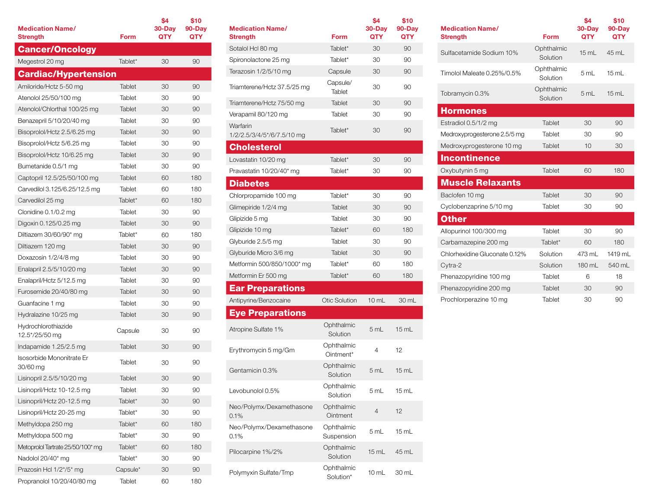| <b>Medication Name/</b><br><b>Strength</b> | Form          | \$4<br>$30 - Day$<br>QTY | \$10<br>90-Day<br>QTY |
|--------------------------------------------|---------------|--------------------------|-----------------------|
| <b>Cancer/Oncology</b>                     |               |                          |                       |
| Megestrol 20 mg                            | Tablet*       | 30                       | 90                    |
| <b>Cardiac/Hypertension</b>                |               |                          |                       |
| Amiloride/Hctz 5-50 mg                     | Tablet        | 30                       | 90                    |
| Atenolol 25/50/100 mg                      | Tablet        | 30                       | 90                    |
| Atenolol/Chlorthal 100/25 mg               | Tablet        | 30                       | 90                    |
| Benazepril 5/10/20/40 mg                   | Tablet        | 30                       | 90                    |
| Bisoprolol/Hctz 2.5/6.25 mg                | Tablet        | 30                       | 90                    |
| Bisoprolol/Hctz 5/6.25 mg                  | Tablet        | 30                       | 90                    |
| Bisoprolol/Hctz 10/6.25 mg                 | Tablet        | 30                       | 90                    |
| Bumetanide 0.5/1 mg                        | Tablet        | 30                       | 90                    |
| Captopril 12.5/25/50/100 mg                | Tablet        | 60                       | 180                   |
| Carvedilol 3.125/6.25/12.5 mg              | Tablet        | 60                       | 180                   |
| Carvedilol 25 mg                           | Tablet*       | 60                       | 180                   |
| Clonidine 0.1/0.2 mg                       | Tablet        | 30                       | 90                    |
| Digoxin 0.125/0.25 mg                      | <b>Tablet</b> | 30                       | 90                    |
| Diltiazem 30/60/90* mg                     | Tablet*       | 60                       | 180                   |
| Diltiazem 120 mg                           | Tablet        | 30                       | 90                    |
| Doxazosin 1/2/4/8 mg                       | Tablet        | 30                       | 90                    |
| Enalapril 2.5/5/10/20 mg                   | Tablet        | 30                       | 90                    |
| Enalapril/Hctz 5/12.5 mg                   | Tablet        | 30                       | 90                    |
| Furosemide 20/40/80 mg                     | Tablet        | 30                       | 90                    |
| Guanfacine 1 mg                            | Tablet        | 30                       | 90                    |
| Hydralazine 10/25 mg                       | Tablet        | 30                       | 90                    |
| Hydrochlorothiazide<br>12.5*/25/50 mg      | Capsule       | 30                       | 90                    |
| Indapamide 1.25/2.5 mg                     | <b>Tablet</b> | 30                       | 90                    |
| Isosorbide Mononitrate Er<br>30/60 mg      | Tablet        | 30                       | 90                    |
| Lisinopril 2.5/5/10/20 mg                  | Tablet        | 30                       | 90                    |
| Lisinopril/Hctz 10-12.5 mg                 | Tablet        | 30                       | 90                    |
| Lisinopril/Hctz 20-12.5 mg                 | Tablet*       | 30                       | 90                    |
| Lisinopril/Hctz 20-25 mg                   | Tablet*       | 30                       | 90                    |
| Methyldopa 250 mg                          | Tablet*       | 60                       | 180                   |
| Methyldopa 500 mg                          | Tablet*       | 30                       | 90                    |
| Metoprolol Tartrate 25/50/100* mg          | Tablet*       | 60                       | 180                   |
| Nadolol 20/40* mg                          | Tablet*       | 30                       | 90                    |
| Prazosin Hcl 1/2*/5* mg                    | Capsule*      | 30                       | 90                    |
| Propranolol 10/20/40/80 mg                 | Tablet        | 60                       | 180                   |

| <b>Medication Name/</b><br>Strength    | <b>Form</b>              | \$4<br>30-Day<br><b>QTY</b> | \$10<br>90-Day<br>QTY |
|----------------------------------------|--------------------------|-----------------------------|-----------------------|
| Sotalol Hcl 80 mg                      | Tablet*                  | 30                          | 90                    |
| Spironolactone 25 mg                   | Tablet*                  | 30                          | 90                    |
| Terazosin 1/2/5/10 mg                  | Capsule                  | 30                          | 90                    |
| Triamterene/Hctz 37.5/25 mg            | Capsule/<br>Tablet       | 30                          | 90                    |
| Triamterene/Hctz 75/50 mg              | Tablet                   | 30                          | 90                    |
| Verapamil 80/120 mg                    | Tablet                   | 30                          | 90                    |
| Warfarin<br>1/2/2.5/3/4/5*/6/7.5/10 mg | Tablet*                  | 30                          | 90                    |
| <b>Cholesterol</b>                     |                          |                             |                       |
| Lovastatin 10/20 mg                    | Tablet*                  | 30                          | 90                    |
| Pravastatin 10/20/40* mg               | Tablet*                  | 30                          | 90                    |
| <b>Diabetes</b>                        |                          |                             |                       |
| Chlorpropamide 100 mg                  | Tablet*                  | 30                          | 90                    |
| Glimepiride 1/2/4 mg                   | Tablet                   | 30                          | 90                    |
| Glipizide 5 mg                         | Tablet                   | 30                          | 90                    |
| Glipizide 10 mg                        | Tablet*                  | 60                          | 180                   |
| Glyburide 2.5/5 mg                     | Tablet                   | 30                          | 90                    |
| Glyburide Micro 3/6 mg                 | Tablet                   | 30                          | 90                    |
| Metformin 500/850/1000* mg             | Tablet*                  | 60                          | 180                   |
| Metformin Er 500 mg                    | Tablet*                  | 60                          | 180                   |
| <b>Ear Preparations</b>                |                          |                             |                       |
| Antipyrine/Benzocaine                  | <b>Otic Solution</b>     | $10$ mL                     | 30 mL                 |
| <b>Eye Preparations</b>                |                          |                             |                       |
| Atropine Sulfate 1%                    | Ophthalmic<br>Solution   | 5 mL                        | $15 \text{ mL}$       |
| Erythromycin 5 mg/Gm                   | Ophthalmic<br>Ointment*  | 4                           | 12                    |
| Gentamicin 0.3%                        | Ophthalmic<br>Solution   | 5 mL                        | $15 \text{ mL}$       |
| Levobunolol 0.5%                       | Ophthalmic<br>Solution   | 5 mL                        | 15 mL                 |
| Neo/Polymx/Dexamethasone<br>0.1%       | Ophthalmic<br>Ointment   | $\overline{4}$              | 12                    |
| Neo/Polymx/Dexamethasone<br>0.1%       | Ophthalmic<br>Suspension | 5 mL                        | 15 mL                 |
| Pilocarpine 1%/2%                      | Ophthalmic<br>Solution   | 15 mL                       | 45 mL                 |
| Polymyxin Sulfate/Tmp                  | Ophthalmic<br>Solution*  | $10$ mL                     | 30 mL                 |

| <b>Medication Name/</b><br><b>Strength</b> | Form                   | \$4<br>$30 - Day$<br><b>QTY</b> | \$10<br>$90 - Day$<br><b>QTY</b> |
|--------------------------------------------|------------------------|---------------------------------|----------------------------------|
| Sulfacetamide Sodium 10%                   | Ophthalmic<br>Solution | 15 mL                           | 45 mL                            |
| Timolol Maleate 0.25%/0.5%                 | Ophthalmic<br>Solution | 5 mL                            | 15 mL                            |
| Tobramycin 0.3%                            | Ophthalmic<br>Solution | 5 mL                            | 15 mL                            |
| <b>Hormones</b>                            |                        |                                 |                                  |
| Estradiol 0.5/1/2 mg                       | Tablet                 | 30                              | 90                               |
| Medroxyprogesterone 2.5/5 mg               | Tablet                 | 30                              | 90                               |
| Medroxyprogesterone 10 mg                  | Tablet                 | 10                              | 30                               |
| <b>Incontinence</b>                        |                        |                                 |                                  |
| Oxybutynin 5 mg                            | Tablet                 | 60                              | 180                              |
| <b>Muscle Relaxants</b>                    |                        |                                 |                                  |
| Baclofen 10 mg                             | Tablet                 | 30                              | 90                               |
| Cyclobenzaprine 5/10 mg                    | Tablet                 | 30                              | 90                               |
| Other                                      |                        |                                 |                                  |
| Allopurinol 100/300 mg                     | Tablet                 | 30                              | 90                               |
| Carbamazepine 200 mg                       | Tablet*                | 60                              | 180                              |
| Chlorhexidine Gluconate 0.12%              | Solution               | 473 mL                          | 1419 mL                          |
| Cytra-2                                    | Solution               | 180 mL                          | 540 mL                           |
| Phenazopyridine 100 mg                     | Tablet                 | 6                               | 18                               |
| Phenazopyridine 200 mg                     | Tablet                 | 30                              | 90                               |
| Prochlorperazine 10 mg                     | Tablet                 | 30                              | 90                               |